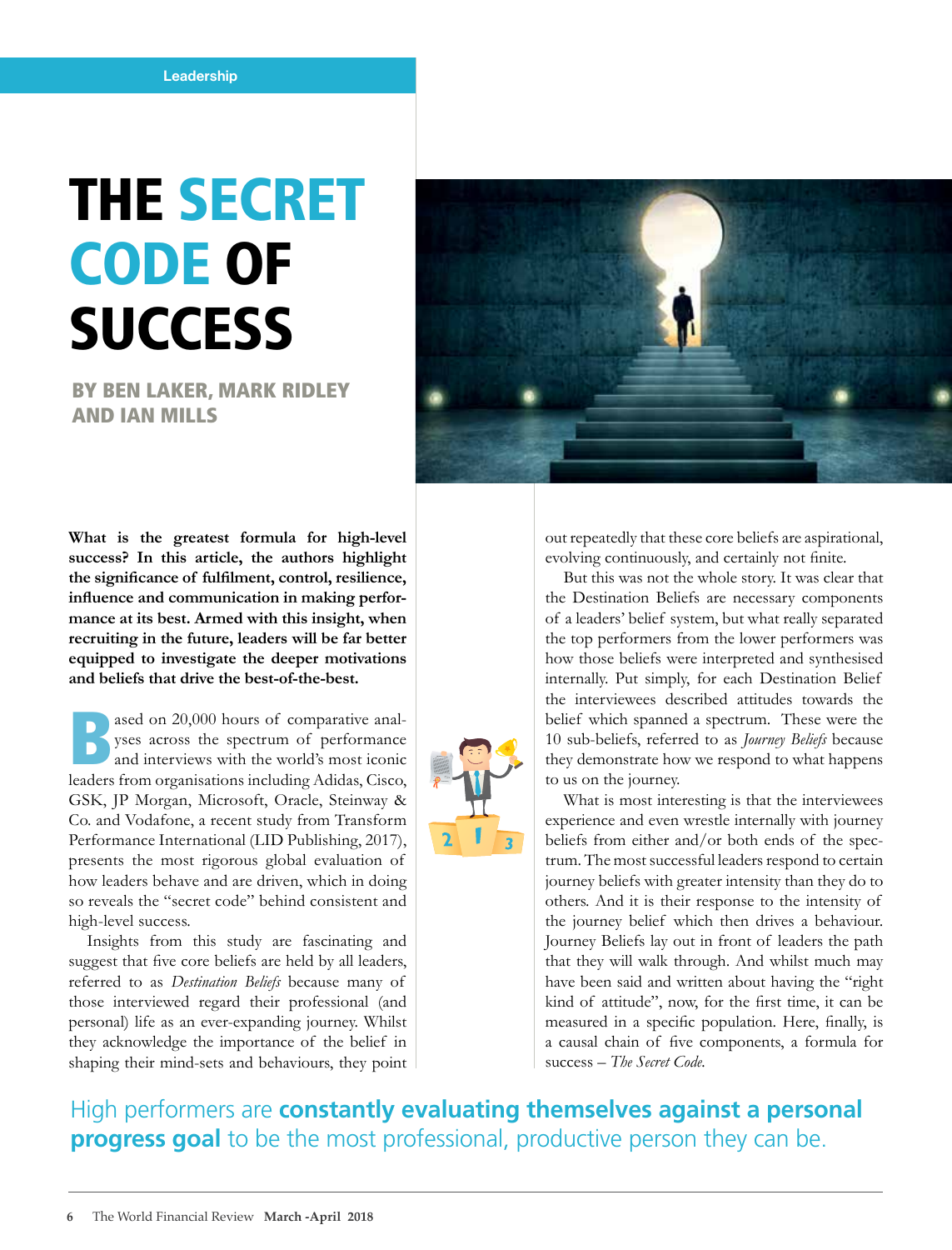## THE SECRET CODE OF **SUCCESS**

BY BEN LAKER, MARK RIDLEY AND IAN MILLS

**What is the greatest formula for high-level success? In this article, the authors highlight the significance of fulfilment, control, resilience, influence and communication in making performance at its best. Armed with this insight, when recruiting in the future, leaders will be far better equipped to investigate the deeper motivations and beliefs that drive the best-of-the-best.**

ased on 20,000 hours of comparative analyses across the spectrum of performance<br>and interviews with the world's most iconic<br>leaders from examinations including Adides Giase yses across the spectrum of performance and interviews with the world's most iconic leaders from organisations including Adidas, Cisco, GSK, JP Morgan, Microsoft, Oracle, Steinway & Co. and Vodafone, a recent study from Transform Performance International (LID Publishing, 2017), presents the most rigorous global evaluation of how leaders behave and are driven, which in doing so reveals the "secret code" behind consistent and high-level success.

Insights from this study are fascinating and suggest that five core beliefs are held by all leaders, referred to as *Destination Beliefs* because many of those interviewed regard their professional (and personal) life as an ever-expanding journey. Whilst they acknowledge the importance of the belief in shaping their mind-sets and behaviours, they point



out repeatedly that these core beliefs are aspirational, evolving continuously, and certainly not finite.

But this was not the whole story. It was clear that the Destination Beliefs are necessary components of a leaders' belief system, but what really separated the top performers from the lower performers was how those beliefs were interpreted and synthesised internally. Put simply, for each Destination Belief the interviewees described attitudes towards the belief which spanned a spectrum. These were the 10 sub-beliefs, referred to as *Journey Beliefs* because they demonstrate how we respond to what happens to us on the journey.

What is most interesting is that the interviewees experience and even wrestle internally with journey beliefs from either and/or both ends of the spectrum. The most successful leaders respond to certain journey beliefs with greater intensity than they do to others. And it is their response to the intensity of the journey belief which then drives a behaviour. Journey Beliefs lay out in front of leaders the path that they will walk through. And whilst much may have been said and written about having the "right kind of attitude", now, for the first time, it can be measured in a specific population. Here, finally, is a causal chain of five components, a formula for success – *The Secret Code.*

High performers are **constantly evaluating themselves against a personal progress goal** to be the most professional, productive person they can be.

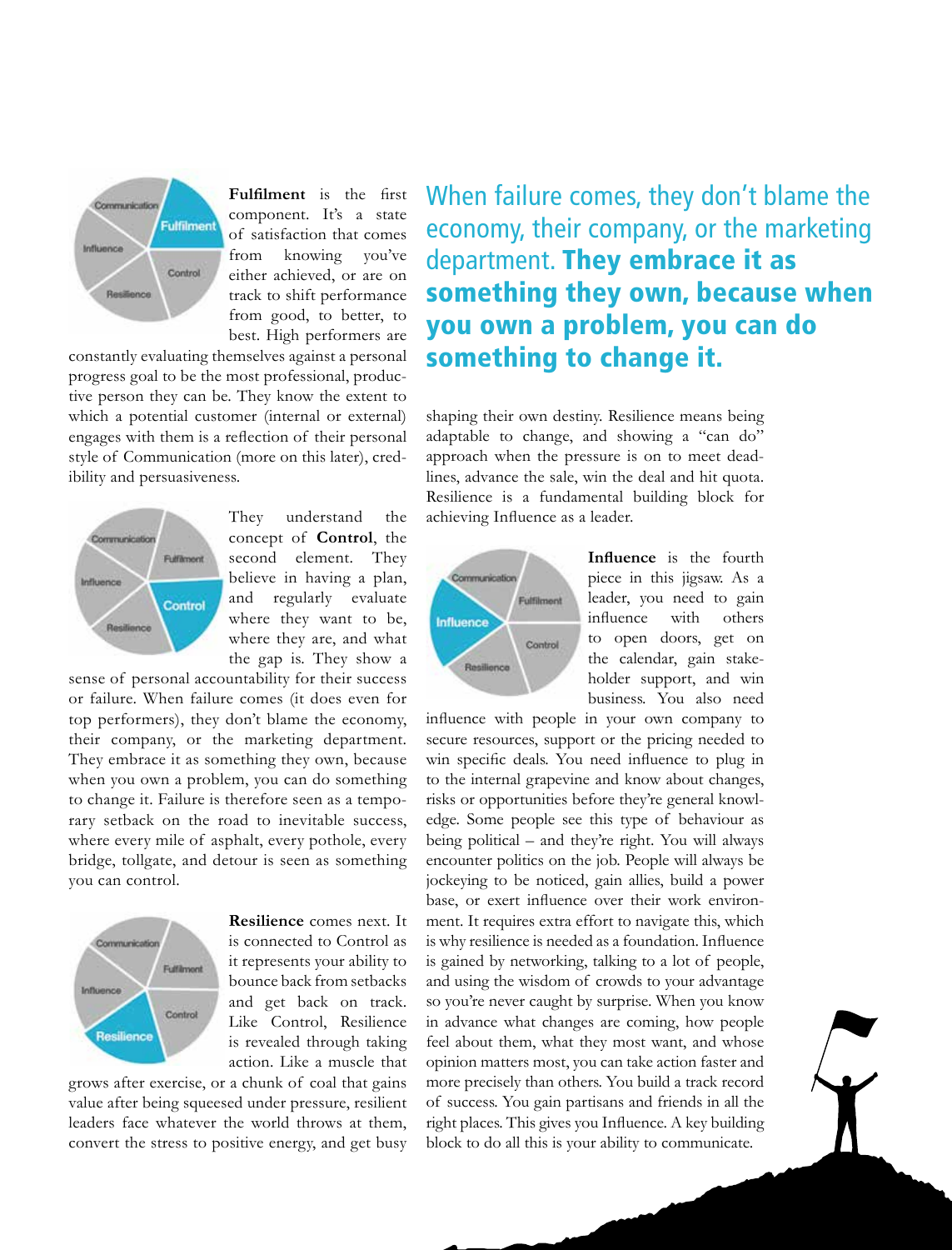

**Fulfilment** is the first component. It's a state of satisfaction that comes from knowing you've either achieved, or are on track to shift performance from good, to better, to best. High performers are

constantly evaluating themselves against a personal progress goal to be the most professional, productive person they can be. They know the extent to which a potential customer (internal or external) engages with them is a reflection of their personal style of Communication (more on this later), credibility and persuasiveness.



They understand the concept of **Control**, the second element. They believe in having a plan, and regularly evaluate where they want to be, where they are, and what the gap is. They show a

sense of personal accountability for their success or failure. When failure comes (it does even for top performers), they don't blame the economy, their company, or the marketing department. They embrace it as something they own, because when you own a problem, you can do something to change it. Failure is therefore seen as a temporary setback on the road to inevitable success, where every mile of asphalt, every pothole, every bridge, tollgate, and detour is seen as something you can control.



**Resilience** comes next. It is connected to Control as it represents your ability to bounce back from setbacks and get back on track. Like Control, Resilience is revealed through taking action. Like a muscle that

grows after exercise, or a chunk of coal that gains value after being squeesed under pressure, resilient leaders face whatever the world throws at them, convert the stress to positive energy, and get busy When failure comes, they don't blame the economy, their company, or the marketing department. They embrace it as something they own, because when you own a problem, you can do something to change it.

shaping their own destiny. Resilience means being adaptable to change, and showing a "can do" approach when the pressure is on to meet deadlines, advance the sale, win the deal and hit quota. Resilience is a fundamental building block for achieving Influence as a leader.



**Influence** is the fourth piece in this jigsaw. As a leader, you need to gain influence with others to open doors, get on the calendar, gain stakeholder support, and win business. You also need

influence with people in your own company to secure resources, support or the pricing needed to win specific deals. You need influence to plug in to the internal grapevine and know about changes, risks or opportunities before they're general knowledge. Some people see this type of behaviour as being political – and they're right. You will always encounter politics on the job. People will always be jockeying to be noticed, gain allies, build a power base, or exert influence over their work environment. It requires extra effort to navigate this, which is why resilience is needed as a foundation. Influence is gained by networking, talking to a lot of people, and using the wisdom of crowds to your advantage so you're never caught by surprise. When you know in advance what changes are coming, how people feel about them, what they most want, and whose opinion matters most, you can take action faster and more precisely than others. You build a track record of success. You gain partisans and friends in all the right places. This gives you Influence. A key building block to do all this is your ability to communicate.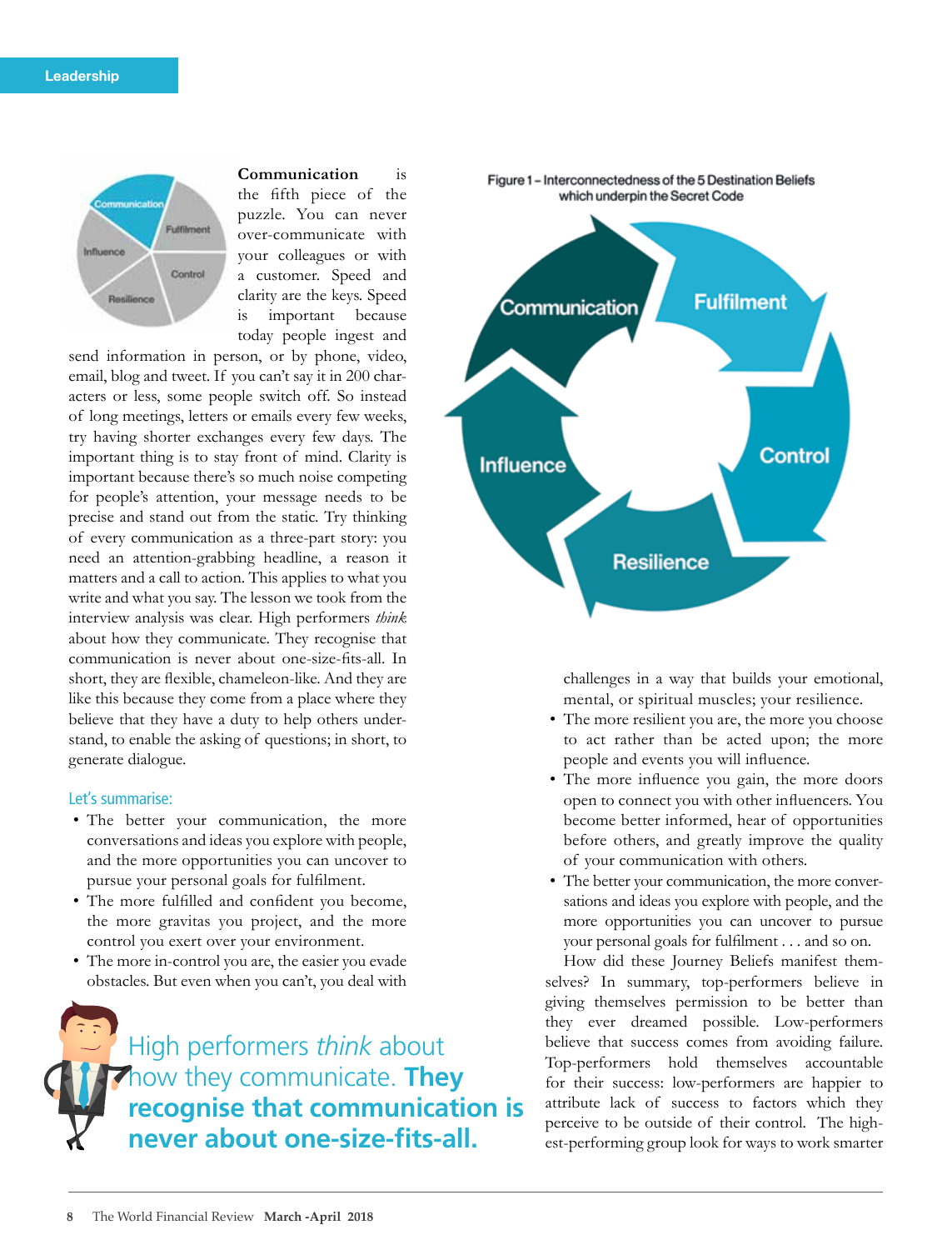

**Communication** is the fifth piece of the puzzle. You can never over-communicate with your colleagues or with a customer. Speed and clarity are the keys. Speed is important because today people ingest and

send information in person, or by phone, video, email, blog and tweet. If you can't say it in 200 characters or less, some people switch off. So instead of long meetings, letters or emails every few weeks, try having shorter exchanges every few days. The important thing is to stay front of mind. Clarity is important because there's so much noise competing for people's attention, your message needs to be precise and stand out from the static. Try thinking of every communication as a three-part story: you need an attention-grabbing headline, a reason it matters and a call to action. This applies to what you write and what you say. The lesson we took from the interview analysis was clear. High performers *think* about how they communicate. They recognise that communication is never about one-size-fits-all. In short, they are flexible, chameleon-like. And they are like this because they come from a place where they believe that they have a duty to help others understand, to enable the asking of questions; in short, to generate dialogue.

## Let's summarise:

- The better your communication, the more conversations and ideas you explore with people, and the more opportunities you can uncover to pursue your personal goals for fulfilment.
- The more fulfilled and confident you become, the more gravitas you project, and the more control you exert over your environment.
- The more in-control you are, the easier you evade obstacles. But even when you can't, you deal with

High performers *think* about how they communicate. **They recognise that communication is never about one-size-fits-all.**



challenges in a way that builds your emotional, mental, or spiritual muscles; your resilience.

- The more resilient you are, the more you choose to act rather than be acted upon; the more people and events you will influence.
- The more influence you gain, the more doors open to connect you with other influencers. You become better informed, hear of opportunities before others, and greatly improve the quality of your communication with others.
- The better your communication, the more conversations and ideas you explore with people, and the more opportunities you can uncover to pursue your personal goals for fulfilment . . . and so on.

How did these Journey Beliefs manifest themselves? In summary, top-performers believe in giving themselves permission to be better than they ever dreamed possible. Low-performers believe that success comes from avoiding failure. Top-performers hold themselves accountable for their success: low-performers are happier to attribute lack of success to factors which they perceive to be outside of their control. The highest-performing group look for ways to work smarter